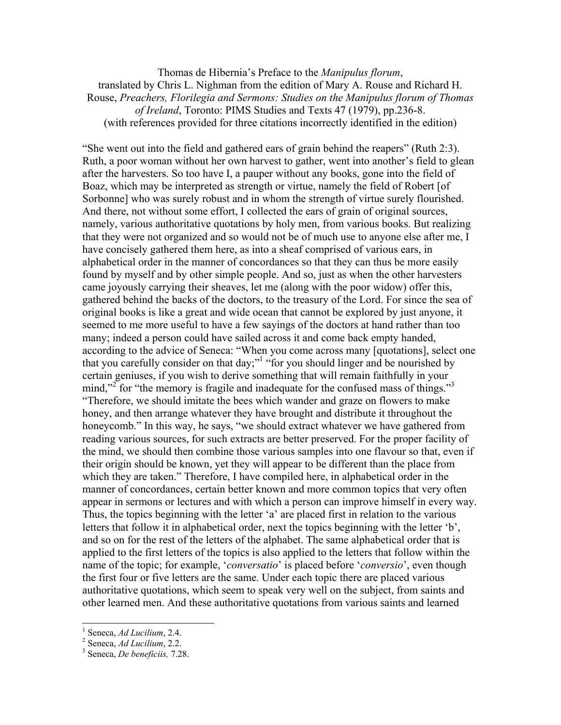Thomas de Hibernia's Preface to the *Manipulus florum*, translated by Chris L. Nighman from the edition of Mary A. Rouse and Richard H. Rouse, *Preachers, Florilegia and Sermons: Studies on the Manipulus florum of Thomas of Ireland*, Toronto: PIMS Studies and Texts 47 (1979), pp.236-8. (with references provided for three citations incorrectly identified in the edition)

"She went out into the field and gathered ears of grain behind the reapers" (Ruth 2:3). Ruth, a poor woman without her own harvest to gather, went into another's field to glean after the harvesters. So too have I, a pauper without any books, gone into the field of Boaz, which may be interpreted as strength or virtue, namely the field of Robert [of Sorbonne] who was surely robust and in whom the strength of virtue surely flourished. And there, not without some effort, I collected the ears of grain of original sources, namely, various authoritative quotations by holy men, from various books. But realizing that they were not organized and so would not be of much use to anyone else after me, I have concisely gathered them here, as into a sheaf comprised of various ears, in alphabetical order in the manner of concordances so that they can thus be more easily found by myself and by other simple people. And so, just as when the other harvesters came joyously carrying their sheaves, let me (along with the poor widow) offer this, gathered behind the backs of the doctors, to the treasury of the Lord. For since the sea of original books is like a great and wide ocean that cannot be explored by just anyone, it seemed to me more useful to have a few sayings of the doctors at hand rather than too many; indeed a person could have sailed across it and come back empty handed, according to the advice of Seneca: "When you come across many [quotations], select one that you carefully consider on that day;"<sup>1</sup> "for you should linger and be nourished by certain geniuses, if you wish to derive something that will remain faithfully in your mind,"<sup>2</sup> for "the memory is fragile and inadequate for the confused mass of things."<sup>3</sup> "Therefore, we should imitate the bees which wander and graze on flowers to make honey, and then arrange whatever they have brought and distribute it throughout the honeycomb." In this way, he says, "we should extract whatever we have gathered from reading various sources, for such extracts are better preserved. For the proper facility of the mind, we should then combine those various samples into one flavour so that, even if their origin should be known, yet they will appear to be different than the place from which they are taken." Therefore, I have compiled here, in alphabetical order in the manner of concordances, certain better known and more common topics that very often appear in sermons or lectures and with which a person can improve himself in every way. Thus, the topics beginning with the letter 'a' are placed first in relation to the various letters that follow it in alphabetical order, next the topics beginning with the letter 'b', and so on for the rest of the letters of the alphabet. The same alphabetical order that is applied to the first letters of the topics is also applied to the letters that follow within the name of the topic; for example, '*conversatio*' is placed before '*conversio*', even though the first four or five letters are the same. Under each topic there are placed various authoritative quotations, which seem to speak very well on the subject, from saints and other learned men. And these authoritative quotations from various saints and learned

<sup>&</sup>lt;sup>1</sup> Seneca, *Ad Lucilium*, 2.4.

<sup>&</sup>lt;sup>2</sup> Seneca, *Ad Lucilium*, 2.2.

Seneca, *De beneficiis,* 7.28.